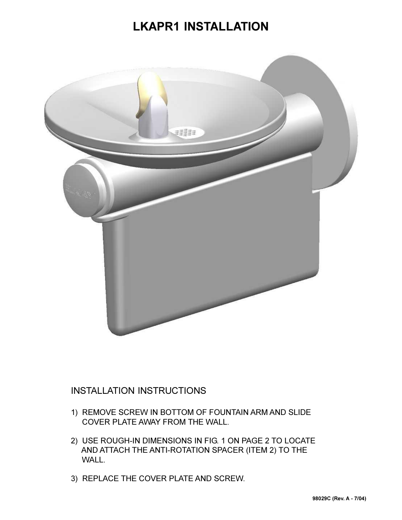## **LKAPR1 INSTALLATION**



## INSTALLATION INSTRUCTIONS

- 1) REMOVE SCREW IN BOTTOM OF FOUNTAIN ARM AND SLIDE COVER PLATE AWAY FROM THE WALL.
- 2) USE ROUGH-IN DIMENSIONS IN FIG. 1 ON PAGE 2 TO LOCATE AND ATTACH THE ANTI-ROTATION SPACER (ITEM 2) TO THE WALL.
- 3) REPLACE THE COVER PLATE AND SCREW.